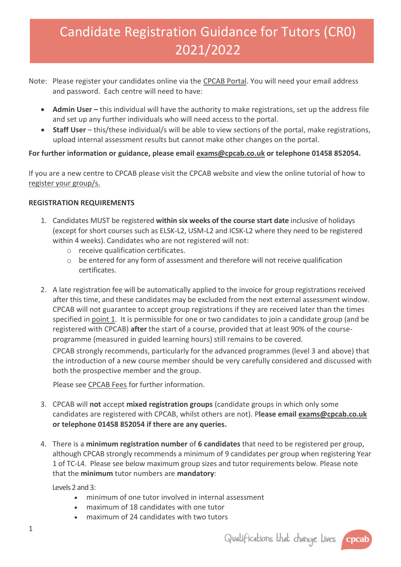# Candidate Registration Guidance for Tutors (CR0) 2021/2022

- Note: Please register your candidates online via the [CPCAB Portal.](https://portal.cpcab.co.uk/) You will need your email address and password. Each centre will need to have:
	- Admin User this individual will have the authority to make registrations, set up the address file and set up any further individuals who will need access to the portal.
	- Staff User this/these individual/s will be able to view sections of the portal, make registrations, upload internal assessment results but cannot make other changes on the portal.

# **For further information or guidance, please email [exams@cpcab.co.uk](mailto:exams@cpcab.co.uk) or telephone 01458 852054.**

If you are a new centre to CPCAB please visit the CPCAB website and view the online tutorial of how to [register your group/s.](https://www.cpcab.co.uk/centres/registering-candidates)

#### **REGISTRATION REQUIREMENTS**

- <span id="page-0-0"></span>1. Candidates MUST be registered **within six weeks of the course start date** inclusive of holidays (except for short courses such as ELSK-L2, USM-L2 and ICSK-L2 where they need to be registered within 4 weeks). Candidates who are not registered will not:
	- o receive qualification certificates.
	- o be entered for any form of assessment and therefore will not receive qualification certificates.
- 2. A late registration fee will be automatically applied to the invoice for group registrations received after this time, and these candidates may be excluded from the next external assessment window. CPCAB will not guarantee to accept group registrations if they are received later than the times specified in [point 1.](#page-0-0) It is permissible for one or two candidates to join a candidate group (and be registered with CPCAB) **after** the start of a course, provided that at least 90% of the courseprogramme (measured in guided learning hours) still remains to be covered.

CPCAB strongly recommends, particularly for the advanced programmes (level 3 and above) that the introduction of a new course member should be very carefully considered and discussed with both the prospective member and the group.

Please see [CPCAB Fees](https://www.cpcab.co.uk/public_docs/fee-structure) for further information.

- 3. CPCAB will **not** accept **mixed registration groups** (candidate groups in which only some candidates are registered with CPCAB, whilst others are not). P**lease email [exams@cpcab.co.uk](mailto:exams@cpcab.co.uk) or telephone 01458 852054 if there are any queries.**
- 4. There is a **minimum registration number** of **6 candidates** that need to be registered per group, although CPCAB strongly recommends a minimum of 9 candidates per group when registering Year 1 of TC-L4. Please see below maximum group sizes and tutor requirements below. Please note that the **minimum** tutor numbers are **mandatory**:

Levels 2 and 3:

- minimum of one tutor involved in internal assessment
- maximum of 18 candidates with one tutor
- maximum of 24 candidates with two tutors

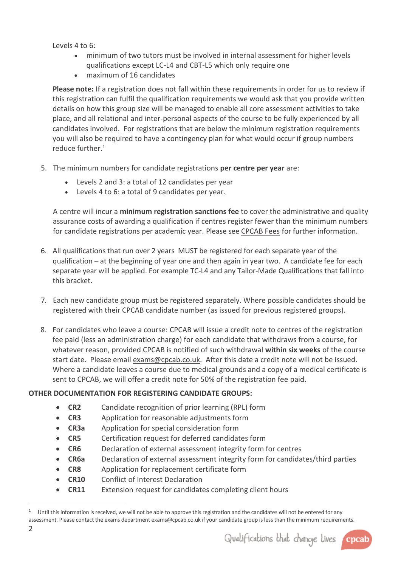Levels 4 to 6:

- minimum of two tutors must be involved in internal assessment for higher levels qualifications except LC-L4 and CBT-L5 which only require one
- maximum of 16 candidates

**Please note:** If a registration does not fall within these requirements in order for us to review if this registration can fulfil the qualification requirements we would ask that you provide written details on how this group size will be managed to enable all core assessment activities to take place, and all relational and inter-personal aspects of the course to be fully experienced by all candidates involved. For registrations that are below the minimum registration requirements you will also be required to have a contingency plan for what would occur if group numbers reduce further.<sup>1</sup>

- 5. The minimum numbers for candidate registrations **per centre per year** are:
	- Levels 2 and 3: a total of 12 candidates per year
	- Levels 4 to 6: a total of 9 candidates per year.

A centre will incur a **minimum registration sanctions fee** to cover the administrative and quality assurance costs of awarding a qualification if centres register fewer than the minimum numbers for candidate registrations per academic year. Please see [CPCAB Fees](https://www.cpcab.co.uk/public_docs/fee-structure) for further information.

- 6. All qualifications that run over 2 years MUST be registered for each separate year of the qualification – at the beginning of year one and then again in year two. A candidate fee for each separate year will be applied. For example TC-L4 and any Tailor-Made Qualifications that fall into this bracket.
- 7. Each new candidate group must be registered separately. Where possible candidates should be registered with their CPCAB candidate number (as issued for previous registered groups).
- 8. For candidates who leave a course: CPCAB will issue a credit note to centres of the registration fee paid (less an administration charge) for each candidate that withdraws from a course, for whatever reason, provided CPCAB is notified of such withdrawal **within six weeks** of the course start date. Please email [exams@cpcab.co.uk.](mailto:exams@cpcab.co.uk) After this date a credit note will not be issued. Where a candidate leaves a course due to medical grounds and a copy of a medical certificate is sent to CPCAB, we will offer a credit note for 50% of the registration fee paid.

# **OTHER DOCUMENTATION FOR REGISTERING CANDIDATE GROUPS:**

- **CR2** Candidate recognition of prior learning (RPL) form
- **CR3** Application for reasonable adjustments form
- **CR3a** Application for special consideration form
- **CR5** Certification request for deferred candidates form
- **CR6** Declaration of external assessment integrity form for centres
- **CR6a** Declaration of external assessment integrity form for candidates/third parties
- **CR8** Application for replacement certificate form
- **CR10** Conflict of Interest Declaration
- **CR11** Extension request for candidates completing client hours



<sup>1</sup> Until this information is received, we will not be able to approve this registration and the candidates will not be entered for any assessment. Please contact the exams departmen[t exams@cpcab.co.uk](mailto:exams@cpcab.co.uk) if your candidate group is less than the minimum requirements.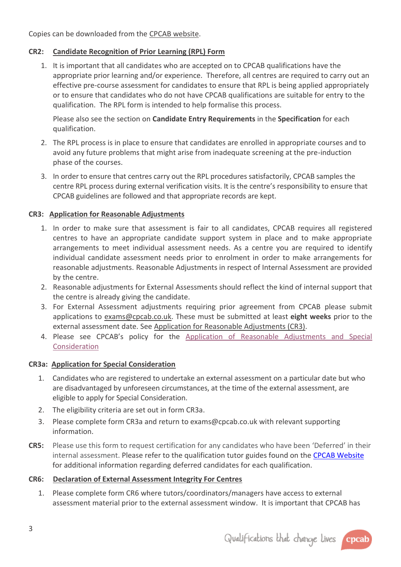Copies can be downloaded from the [CPCAB website.](https://www.cpcab.co.uk/centres/documents)

# **CR2: Candidate Recognition of [Prior Learning \(RPL\) Form](https://www.cpcab.co.uk/public_docs/cr2_candidate_rpl_form)**

1. It is important that all candidates who are accepted on to CPCAB qualifications have the appropriate prior learning and/or experience. Therefore, all centres are required to carry out an effective pre-course assessment for candidates to ensure that RPL is being applied appropriately or to ensure that candidates who do not have CPCAB qualifications are suitable for entry to the qualification. The RPL form is intended to help formalise this process.

Please also see the section on **Candidate Entry Requirements** in the **Specification** for each qualification.

- 2. The RPL process is in place to ensure that candidates are enrolled in appropriate courses and to avoid any future problems that might arise from inadequate screening at the pre-induction phase of the courses.
- 3. In order to ensure that centres carry out the RPL procedures satisfactorily, CPCAB samples the centre RPL process during external verification visits. It is the centre's responsibility to ensure that CPCAB guidelines are followed and that appropriate records are kept.

# **CR3: [Application for Reasonable Adjustments](https://www.cpcab.co.uk/public_docs/cr3_application_for_reasonable_adjustments_form)**

- 1. In order to make sure that assessment is fair to all candidates, CPCAB requires all registered centres to have an appropriate candidate support system in place and to make appropriate arrangements to meet individual assessment needs. As a centre you are required to identify individual candidate assessment needs prior to enrolment in order to make arrangements for reasonable adjustments. Reasonable Adjustments in respect of Internal Assessment are provided by the centre.
- 2. Reasonable adjustments for External Assessments should reflect the kind of internal support that the centre is already giving the candidate.
- 3. For External Assessment adjustments requiring prior agreement from CPCAB please submit applications to [exams@cpcab.co.uk.](mailto:exams@cpcab.co.uk) These must be submitted at least **eight weeks** prior to the external assessment date. See [Application for Reasonable Adjustments \(CR3\).](https://www.cpcab.co.uk/public_docs/cr3_application_for_reasonable_adjustments_form)
- 4. Please see CPCAB's policy for the Application of Reasonable Adjustments and Special [Consideration](https://www.cpcab.co.uk/public_docs/application-of-reasonable-adjustments-and-special)

#### **CR3a: [Application for Special Consideration](https://www.cpcab.co.uk/public_docs/cr3b_application_for_special_consideration_form)**

- 1. Candidates who are registered to undertake an external assessment on a particular date but who are disadvantaged by unforeseen circumstances, at the time of the external assessment, are eligible to apply for Special Consideration.
- 2. The eligibility criteria are set out in form CR3a.
- 3. Please complete form CR3a and return to exams@cpcab.co.uk with relevant supporting information.
- **CR5:** Please use this form to request certification for any candidates who have been 'Deferred' in their internal assessment. Please refer to the qualification tutor guides found on the [CPCAB Website](https://www.cpcab.co.uk/qualifications/) for additional information regarding deferred candidates for each qualification.

#### **CR6: [Declaration of External Assessment Integrity For Centres](https://www.cpcab.co.uk/public_docs/cr6_declaration_of_ea_integrity_form)**

1. Please complete form CR6 where tutors/coordinators/managers have access to external assessment material prior to the external assessment window. It is important that CPCAB has

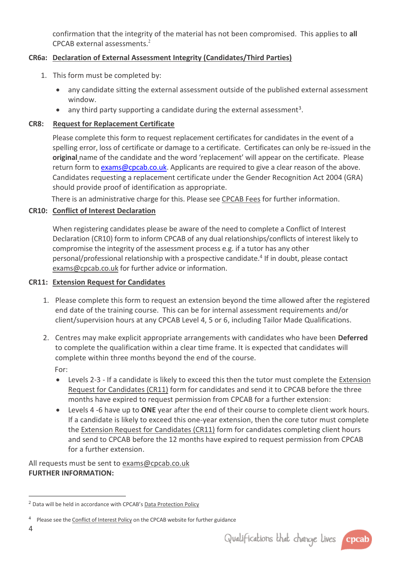confirmation that the integrity of the material has not been compromised. This applies to **all** CPCAB external assessments.<sup>2</sup>

# **CR6a: [Declaration of External Assessment Integrity \(Candidates/Third Parties\)](https://www.cpcab.co.uk/public_docs/cr6a-declaration-of-external-assessment-integrity)**

- 1. This form must be completed by:
	- any candidate sitting the external assessment outside of the published external assessment window.
	- $\bullet$  any third party supporting a candidate during the external assessment<sup>3</sup>.

## **CR8: [Request for Replacement Certificate](https://www.cpcab.co.uk/public_docs/cr8_replacement_certificate_request_from)**

Please complete this form to request replacement certificates for candidates in the event of a spelling error, loss of certificate or damage to a certificate. Certificates can only be re-issued in the **original** name of the candidate and the word 'replacement' will appear on the certificate. Please return form t[o exams@cpcab.co.uk.](mailto:exams@cpcab.co.uk) Applicants are required to give a clear reason of the above. Candidates requesting a replacement certificate under the Gender Recognition Act 2004 (GRA) should provide proof of identification as appropriate.

There is an administrative charge for this. Please see [CPCAB Fees](https://www.cpcab.co.uk/public_docs/fee-structure) for further information.

## **CR10: [Conflict of Interest Declaration](https://www.cpcab.co.uk/public_docs/cr10-declaration-of-interest-form)**

When registering candidates please be aware of the need to complete [a Conflict of Interest](https://www.cpcab.co.uk/public_docs/cr10-declaration-of-interest-form)  [Declaration \(CR10\)](https://www.cpcab.co.uk/public_docs/cr10-declaration-of-interest-form) form to inform CPCAB of any dual relationships/conflicts of interest likely to compromise the integrity of the assessment process e.g. if a tutor has any other personal/professional relationship with a prospective candidate. 4 If in doubt, please contact [exams@cpcab.co.uk](mailto:exams@cpcab.co.uk) for further advice or information.

#### **CR11: [Extension Request for Candidates](https://www.cpcab.co.uk/public_docs/cr11-extension-request-for-candidates-completing-c)**

- 1. Please complete this form to request an extension beyond the time allowed after the registered end date of the training course. This can be for internal assessment requirements and/or client/supervision hours at any CPCAB Level 4, 5 or 6, including Tailor Made Qualifications.
- 2. Centres may make explicit appropriate arrangements with candidates who have been **Deferred** to complete the qualification within a clear time frame. It is expected that candidates will complete within three months beyond the end of the course.

For:

- Levels 2-3 If a candidate is likely to exceed this then the tutor must complete the [Extension](http://www.cpcab.co.uk/public_docs/cr11-extension-request-for-candidates-completing-c?search=cr11)  [Request for Candidates \(CR11\)](http://www.cpcab.co.uk/public_docs/cr11-extension-request-for-candidates-completing-c?search=cr11) form for candidates and send it to CPCAB before the three months have expired to request permission from CPCAB for a further extension:
- Levels 4 -6 have up to **ONE** year after the end of their course to complete client work hours. If a candidate is likely to exceed this one-year extension, then the core tutor must complete the [Extension Request for Candidates \(CR11\)](http://www.cpcab.co.uk/public_docs/cr11-extension-request-for-candidates-completing-c?search=cr11) form for candidates completing client hours and send to CPCAB before the 12 months have expired to request permission from CPCAB for a further extension.

All requests must be sent to [exams@cpcab.co.uk](mailto:exams@cpcab.co.uk) **FURTHER INFORMATION:**

4



<sup>&</sup>lt;sup>2</sup> Data will be held in accordance with CPCAB's [Data Protection Policy](http://www.cpcab.co.uk/Content/Publicdocs/data_protection_policy_apr18.pdf)

<sup>&</sup>lt;sup>4</sup> Please see th[e Conflict of Interest Policy](http://www.cpcab.co.uk/public_docs/conflict_of_interest_policy) on the CPCAB website for further guidance